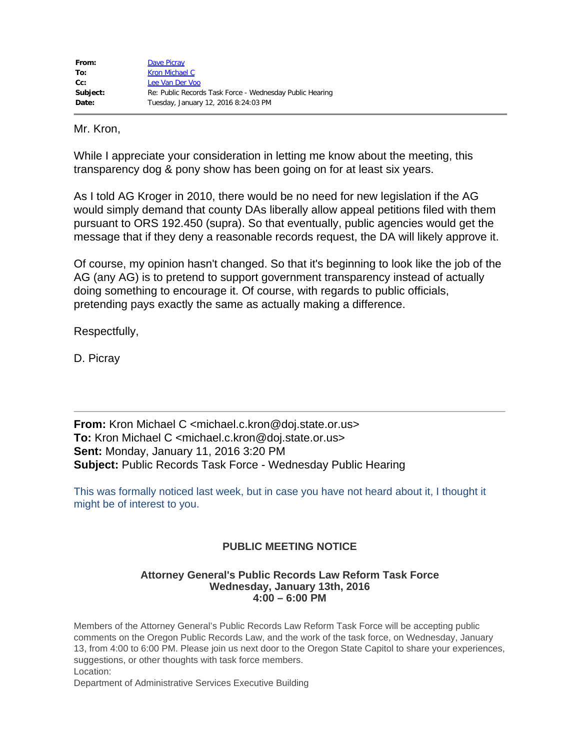| From:    | Dave Picray                                              |
|----------|----------------------------------------------------------|
| To:      | Kron Michael C                                           |
| $Cc$ :   | Lee Van Der Voo                                          |
| Subject: | Re: Public Records Task Force - Wednesday Public Hearing |
| Date:    | Tuesday, January 12, 2016 8:24:03 PM                     |

Mr. Kron,

While I appreciate your consideration in letting me know about the meeting, this transparency dog & pony show has been going on for at least six years.

As I told AG Kroger in 2010, there would be no need for new legislation if the AG would simply demand that county DAs liberally allow appeal petitions filed with them pursuant to ORS 192.450 (supra). So that eventually, public agencies would get the message that if they deny a reasonable records request, the DA will likely approve it.

Of course, my opinion hasn't changed. So that it's beginning to look like the job of the AG (any AG) is to pretend to support government transparency instead of actually doing something to encourage it. Of course, with regards to public officials, pretending pays exactly the same as actually making a difference.

Respectfully,

D. Picray

**From:** Kron Michael C <michael.c.kron@doj.state.or.us> **To:** Kron Michael C <michael.c.kron@doj.state.or.us> **Sent:** Monday, January 11, 2016 3:20 PM **Subject:** Public Records Task Force - Wednesday Public Hearing

This was formally noticed last week, but in case you have not heard about it, I thought it might be of interest to you.

## **PUBLIC MEETING NOTICE**

## **Attorney General's Public Records Law Reform Task Force Wednesday, January 13th, 2016 4:00 – 6:00 PM**

Members of the Attorney General's Public Records Law Reform Task Force will be accepting public comments on the Oregon Public Records Law, and the work of the task force, on Wednesday, January 13, from 4:00 to 6:00 PM. Please join us next door to the Oregon State Capitol to share your experiences, suggestions, or other thoughts with task force members. Location:

Department of Administrative Services Executive Building